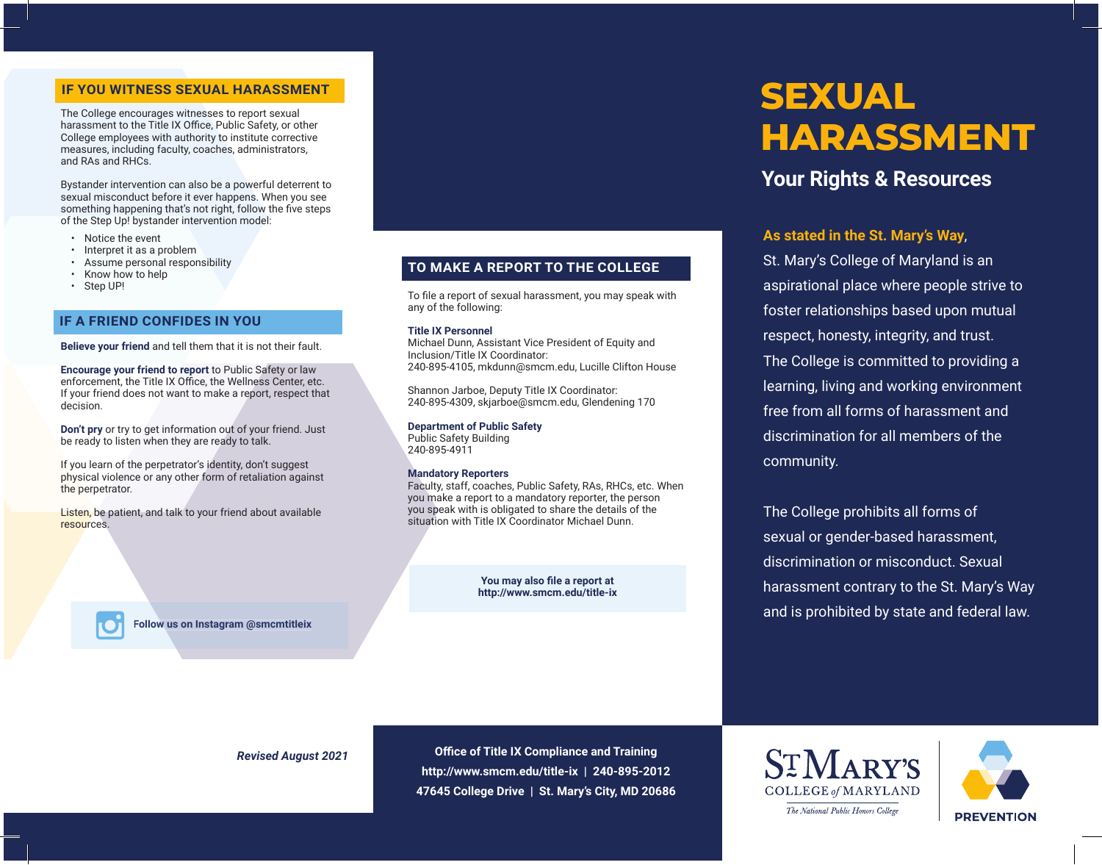The College encourages witnesses to report sexual harassment to the Title IX Office, Public Safety, or other College employees with authority to institute corrective measures, including faculty, coaches, administrators, and RAs and RHCs.

Bystander intervention can also be a powerful deterrent to sexual misconduct before it ever happens. When you see something happening that's not right, follow the five steps of the Step Up! bystander intervention model:

- Notice the event
- Interpret it as a problem
- Assume personal responsibility
- Know how to help
- Step UP!

#### **IF A FRIEND CONFIDES IN YOU**

**Believe your friend** and tell them that it is not their fault.

**Encourage your friend to report** to Public Safety or law enforcement, the Title IX Office, the Wellness Center, etc. If your friend does not want to make a report, respect that decision.

**Don't pry** or try to get information out of your friend. Just be ready to listen when they are ready to talk.

If you learn of the perpetrator's identity, don't suggest physical violence or any other form of retaliation against the perpetrator.

Listen, be patient, and talk to your friend about available resources.

> **You may also file a report at http://www.smcm.edu/title-ix**

Faculty, staff, coaches, Public Safety, RAs, RHCs, etc. When you make a report to a mandatory reporter, the person you speak with is obligated to share the details of the situation with Title IX Coordinator Michael Dunn.

To file a report of sexual harassment, you may speak with

**TO MAKE A REPORT TO THE COLLEGE**

240-895-4105, mkdunn@smcm.edu, Lucille Clifton House

Michael Dunn, Assistant Vice President of Equity and

Shannon Jarboe, Deputy Title IX Coordinator: 240-895-4309, skjarboe@smcm.edu, Glendening 170

any of the following: **Title IX Personnel**

Inclusion/Title IX Coordinator:

**Department of Public Safety** Public Safety Building 240-895-4911

**Mandatory Reporters**

# **IF YOU WITNESS SEXUAL HARASSMENT HARASSMENT**

# **Your Rights & Resources**

#### **As stated in the St. Mary's Way**,

St. Mary's College of Maryland is an aspirational place where people strive to foster relationships based upon mutual respect, honesty, integrity, and trust. The College is committed to providing a learning, living and working environment free from all forms of harassment and discrimination for all members of the community.

The College prohibits all forms of sexual or gender-based harassment, discrimination or misconduct. Sexual harassment contrary to the St. Mary's Way and is prohibited by state and federal law. **Follow us on Instagram @smcmtitleix**

*Revised August 2021*

**Office of Title IX Compliance and Training http://www.smcm.edu/title-ix | 240-895-2012 47645 College Drive | St. Mary's City, MD 20686**